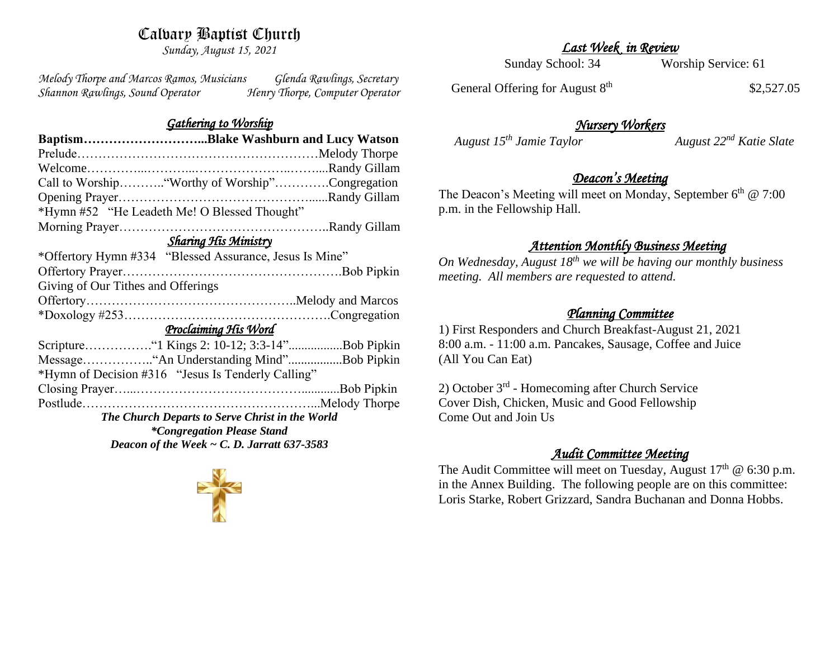# Calvary Baptist Church

*Sunday, August 15, 2021*

*Melody Thorpe and Marcos Ramos, Musicians Glenda Rawlings, Secretary Shannon Rawlings, Sound Operator Henry Thorpe, Computer Operator* 

#### *Gathering to Worship*

|                                                  | BaptismBlake Washburn and Lucy Watson                   |
|--------------------------------------------------|---------------------------------------------------------|
|                                                  |                                                         |
|                                                  |                                                         |
|                                                  |                                                         |
|                                                  |                                                         |
|                                                  | *Hymn #52 "He Leadeth Me! O Blessed Thought"            |
|                                                  |                                                         |
| Sharing His Ministry                             |                                                         |
|                                                  | *Offertory Hymn #334 "Blessed Assurance, Jesus Is Mine" |
|                                                  |                                                         |
| Giving of Our Tithes and Offerings               |                                                         |
|                                                  |                                                         |
|                                                  |                                                         |
| Proclaiming His Word                             |                                                         |
|                                                  |                                                         |
|                                                  |                                                         |
|                                                  | *Hymn of Decision #316 "Jesus Is Tenderly Calling"      |
|                                                  |                                                         |
|                                                  |                                                         |
| The Church Departs to Serve Christ in the World  |                                                         |
| <i>*Congregation Please Stand</i>                |                                                         |
| Deacon of the Week $\sim$ C. D. Jarratt 637-3583 |                                                         |
|                                                  |                                                         |

# *Last Week in Review*

Sunday School: 34 Worship Service: 61

General Offering for August 8<sup>th</sup>

\$2,527.05

## *Nursery Workers*

*August 15<sup>th</sup> Jamie Taylor August 22<sup>nd</sup> Katie Slate* 

## *Deacon's Meeting*

The Deacon's Meeting will meet on Monday, September  $6<sup>th</sup>$  @ 7:00 p.m. in the Fellowship Hall.

#### *Attention Monthly Business Meeting*

*On Wednesday, August 18th we will be having our monthly business meeting. All members are requested to attend.* 

## *Planning Committee*

1) First Responders and Church Breakfast-August 21, 2021 8:00 a.m. - 11:00 a.m. Pancakes, Sausage, Coffee and Juice (All You Can Eat)

2) October 3<sup>rd</sup> - Homecoming after Church Service Cover Dish, Chicken, Music and Good Fellowship Come Out and Join Us

## *Audit Committee Meeting*

The Audit Committee will meet on Tuesday, August  $17<sup>th</sup>$  @ 6:30 p.m. in the Annex Building. The following people are on this committee: Loris Starke, Robert Grizzard, Sandra Buchanan and Donna Hobbs.